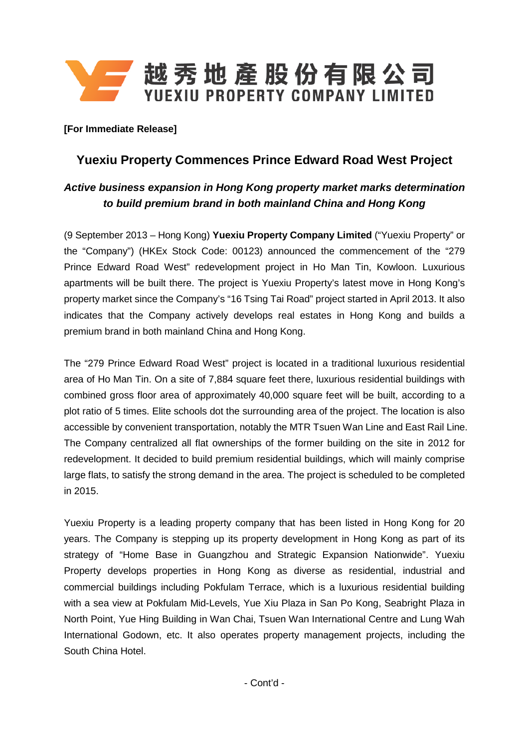

**[For Immediate Release]**

## **Yuexiu Property Commences Prince Edward Road West Project**

## *Active business expansion in Hong Kong property market marks determination to build premium brand in both mainland China and Hong Kong*

(9 September 2013 – Hong Kong) **Yuexiu Property Company Limited** ("Yuexiu Property" or the "Company") (HKEx Stock Code: 00123) announced the commencement of the "279 Prince Edward Road West" redevelopment project in Ho Man Tin, Kowloon. Luxurious apartments will be built there. The project is Yuexiu Property's latest move in Hong Kong's property market since the Company's "16 Tsing Tai Road" project started in April 2013. It also indicates that the Company actively develops real estates in Hong Kong and builds a premium brand in both mainland China and Hong Kong.

The "279 Prince Edward Road West" project is located in a traditional luxurious residential area of Ho Man Tin. On a site of 7,884 square feet there, luxurious residential buildings with combined gross floor area of approximately 40,000 square feet will be built, according to a plot ratio of 5 times. Elite schools dot the surrounding area of the project. The location is also accessible by convenient transportation, notably the MTR Tsuen Wan Line and East Rail Line. The Company centralized all flat ownerships of the former building on the site in 2012 for redevelopment. It decided to build premium residential buildings, which will mainly comprise large flats, to satisfy the strong demand in the area. The project is scheduled to be completed in 2015.

Yuexiu Property is a leading property company that has been listed in Hong Kong for 20 years. The Company is stepping up its property development in Hong Kong as part of its strategy of "Home Base in Guangzhou and Strategic Expansion Nationwide". Yuexiu Property develops properties in Hong Kong as diverse as residential, industrial and commercial buildings including Pokfulam Terrace, which is a luxurious residential building with a sea view at Pokfulam Mid-Levels, Yue Xiu Plaza in San Po Kong, Seabright Plaza in North Point, Yue Hing Building in Wan Chai, Tsuen Wan International Centre and Lung Wah International Godown, etc. It also operates property management projects, including the South China Hotel.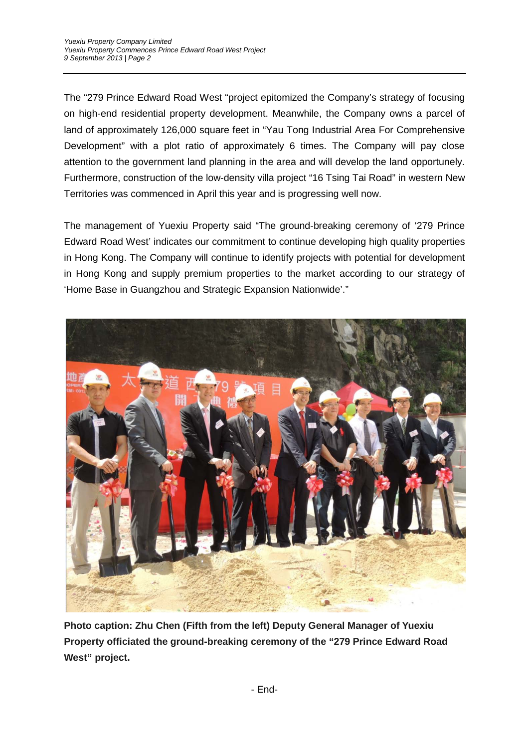The "279 Prince Edward Road West "project epitomized the Company's strategy of focusing on high-end residential property development. Meanwhile, the Company owns a parcel of land of approximately 126,000 square feet in "Yau Tong Industrial Area For Comprehensive Development" with a plot ratio of approximately 6 times. The Company will pay close attention to the government land planning in the area and will develop the land opportunely. Furthermore, construction of the low-density villa project "16 Tsing Tai Road" in western New Territories was commenced in April this year and is progressing well now.

The management of Yuexiu Property said "The ground-breaking ceremony of '279 Prince Edward Road West' indicates our commitment to continue developing high quality properties in Hong Kong. The Company will continue to identify projects with potential for development in Hong Kong and supply premium properties to the market according to our strategy of 'Home Base in Guangzhou and Strategic Expansion Nationwide'."



**Photo caption: Zhu Chen (Fifth from the left) Deputy General Manager of Yuexiu Property officiated the ground-breaking ceremony of the "279 Prince Edward Road West" project.**